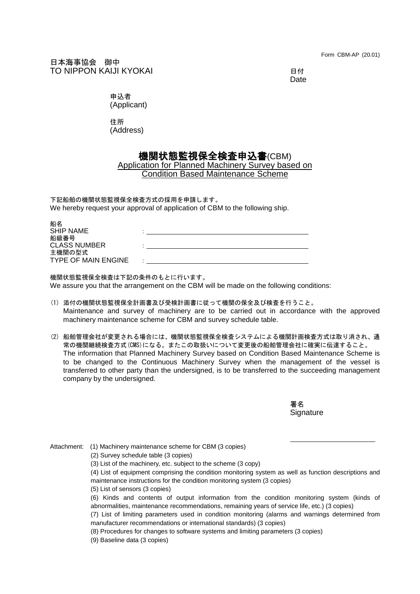Form CBM-AP (20.01)

日本海事協会 御中 TO NIPPON KAIJI KYOKAI 日付

Date

申込者 (Applicant)

住所

(Address)

## 機関状態監視保全検査申込書(CBM)

## Application for Planned Machinery Survey based on Condition Based Maintenance Scheme

下記船舶の機関状態監視保全検査方式の採用を申請します。 We hereby request your approval of application of CBM to the following ship.

| 船名<br><b>SHIP NAME</b>               |  |
|--------------------------------------|--|
| 船級番号<br><b>CLASS NUMBER</b>          |  |
| 主機関の型式<br><b>TYPE OF MAIN ENGINE</b> |  |

機関状態監視保全検査は下記の条件のもとに行います。 We assure you that the arrangement on the CBM will be made on the following conditions:

- (1) 添付の機関状態監視保全計画書及び受検計画書に従って機関の保全及び検査を行うこと。 Maintenance and survey of machinery are to be carried out in accordance with the approved machinery maintenance scheme for CBM and survey schedule table.
- (2) 船舶管理会社が変更される場合には、機関状態監視保全検査システムによる機関計画検査方式は取り消され、通 常の機関継続検査方式(CMS)になる。またこの取扱いについて変更後の船舶管理会社に確実に伝達すること。 The information that Planned Machinery Survey based on Condition Based Maintenance Scheme is to be changed to the Continuous Machinery Survey when the management of the vessel is transferred to other party than the undersigned, is to be transferred to the succeeding management company by the undersigned.

署名 **Signature** 

Attachment: (1) Machinery maintenance scheme for CBM (3 copies)

(2) Survey schedule table (3 copies)

- (3) List of the machinery, etc. subject to the scheme (3 copy)
- (4) List of equipment comprising the condition monitoring system as well as function descriptions and maintenance instructions for the condition monitoring system (3 copies)
- (5) List of sensors (3 copies)
- (6) Kinds and contents of output information from the condition monitoring system (kinds of abnormalities, maintenance recommendations, remaining years of service life, etc.) (3 copies)
- (7) List of limiting parameters used in condition monitoring (alarms and warnings determined from manufacturer recommendations or international standards) (3 copies)
- (8) Procedures for changes to software systems and limiting parameters (3 copies)
- (9) Baseline data (3 copies)